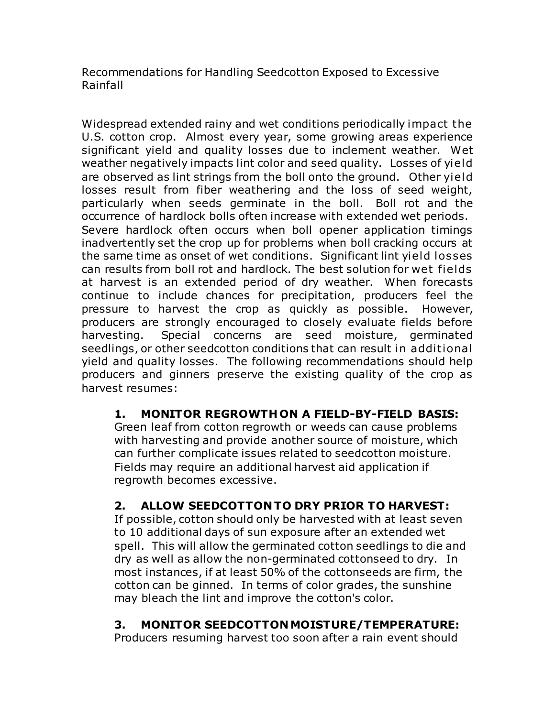Recommendations for Handling Seedcotton Exposed to Excessive Rainfall

Widespread extended rainy and wet conditions periodically impact the U.S. cotton crop. Almost every year, some growing areas experience significant yield and quality losses due to inclement weather. Wet weather negatively impacts lint color and seed quality. Losses of yield are observed as lint strings from the boll onto the ground. Other yield losses result from fiber weathering and the loss of seed weight, particularly when seeds germinate in the boll. Boll rot and the occurrence of hardlock bolls often increase with extended wet periods. Severe hardlock often occurs when boll opener application timings inadvertently set the crop up for problems when boll cracking occurs at the same time as onset of wet conditions. Significant lint yield losses can results from boll rot and hardlock. The best solution for wet fields at harvest is an extended period of dry weather. When forecasts continue to include chances for precipitation, producers feel the pressure to harvest the crop as quickly as possible. However, producers are strongly encouraged to closely evaluate fields before harvesting. Special concerns are seed moisture, germinated seedlings, or other seedcotton conditions that can result in additional yield and quality losses. The following recommendations should help producers and ginners preserve the existing quality of the crop as harvest resumes:

### **1. MONITOR REGROWTH ON A FIELD-BY-FIELD BASIS:**

Green leaf from cotton regrowth or weeds can cause problems with harvesting and provide another source of moisture, which can further complicate issues related to seedcotton moisture. Fields may require an additional harvest aid application if regrowth becomes excessive.

### **2. ALLOW SEEDCOTTON TO DRY PRIOR TO HARVEST:**

If possible, cotton should only be harvested with at least seven to 10 additional days of sun exposure after an extended wet spell. This will allow the germinated cotton seedlings to die and dry as well as allow the non-germinated cottonseed to dry. In most instances, if at least 50% of the cottonseeds are firm, the cotton can be ginned. In terms of color grades, the sunshine may bleach the lint and improve the cotton's color.

#### **3. MONITOR SEEDCOTTON MOISTURE/TEMPERATURE:**

Producers resuming harvest too soon after a rain event should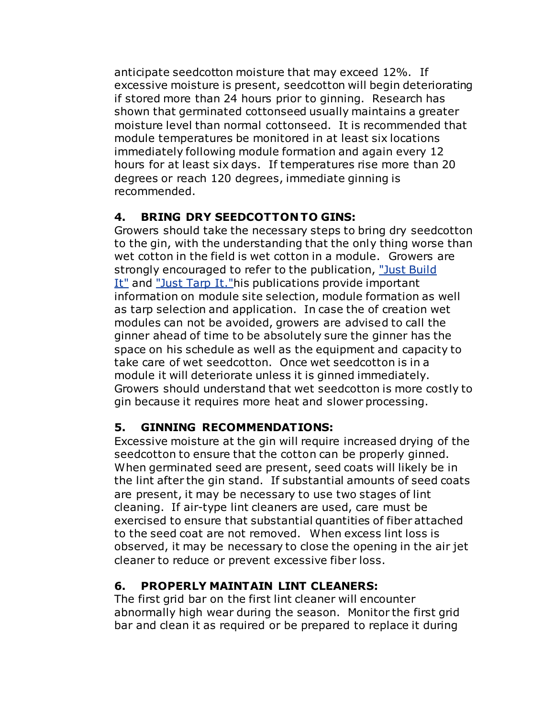anticipate seedcotton moisture that may exceed 12%. If excessive moisture is present, seedcotton will begin deteriorating if stored more than 24 hours prior to ginning. Research has shown that germinated cottonseed usually maintains a greater moisture level than normal cottonseed. It is recommended that module temperatures be monitored in at least six locations immediately following module formation and again every 12 hours for at least six days. If temperatures rise more than 20 degrees or reach 120 degrees, immediate ginning is recommended.

### **4. BRING DRY SEEDCOTTON TO GINS:**

Growers should take the necessary steps to bring dry seedcotton to the gin, with the understanding that the only thing worse than wet cotton in the field is wet cotton in a module. Growers are strongly encouraged to refer to the publication, ["Just Build](http://www.cotton.org/tech/quality/just-build-it.cfm)  [It"](http://www.cotton.org/tech/quality/just-build-it.cfm) and "Just Tarp It." his publications provide important information on module site selection, module formation as well as tarp selection and application. In case the of creation wet modules can not be avoided, growers are advised to call the ginner ahead of time to be absolutely sure the ginner has the space on his schedule as well as the equipment and capacity to take care of wet seedcotton. Once wet seedcotton is in a module it will deteriorate unless it is ginned immediately. Growers should understand that wet seedcotton is more costly to gin because it requires more heat and slower processing.

### **5. GINNING RECOMMENDATIONS:**

Excessive moisture at the gin will require increased drying of the seedcotton to ensure that the cotton can be properly ginned. When germinated seed are present, seed coats will likely be in the lint after the gin stand. If substantial amounts of seed coats are present, it may be necessary to use two stages of lint cleaning. If air-type lint cleaners are used, care must be exercised to ensure that substantial quantities of fiber attached to the seed coat are not removed. When excess lint loss is observed, it may be necessary to close the opening in the air jet cleaner to reduce or prevent excessive fiber loss.

### **6. PROPERLY MAINTAIN LINT CLEANERS:**

The first grid bar on the first lint cleaner will encounter abnormally high wear during the season. Monitor the first grid bar and clean it as required or be prepared to replace it during